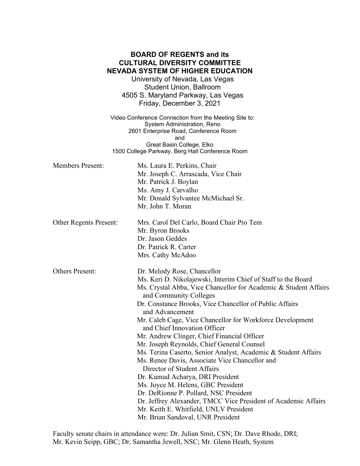## **BOARD OF REGENTS and its CULTURAL DIVERSITY COMMITTEE NEVADA SYSTEM OF HIGHER EDUCATION**

University of Nevada, Las Vegas Student Union, Ballroom 4505 S. Maryland Parkway, Las Vegas Friday, December 3, 2021

Video Conference Connection from the Meeting Site to: System Administration, Reno 2601 Enterprise Road, Conference Room and Great Basin College, Elko 1500 College Parkway, Berg Hall Conference Room

Members Present: Ms. Laura E. Perkins, Chair Mr. Joseph C. Arrascada, Vice Chair Mr. Patrick J. Boylan Ms. Amy J. Carvalho Mr. Donald Sylvantee McMichael Sr. Mr. John T. Moran Other Regents Present: Mrs. Carol Del Carlo, Board Chair Pro Tem Mr. Byron Brooks Dr. Jason Geddes Dr. Patrick R. Carter Mrs. Cathy McAdoo Others Present: Dr. Melody Rose, Chancellor Ms. Keri D. Nikolajewski, Interim Chief of Staff to the Board Ms. Crystal Abba, Vice Chancellor for Academic & Student Affairs and Community Colleges Dr. Constance Brooks, Vice Chancellor of Public Affairs and Advancement Mr. Caleb Cage, Vice Chancellor for Workforce Development and Chief Innovation Officer Mr. Andrew Clinger, Chief Financial Officer Mr. Joseph Reynolds, Chief General Counsel Ms. Terina Caserto, Senior Analyst, Academic & Student Affairs Ms. Renee Davis, Associate Vice Chancellor and Director of Student Affairs Dr. Kumud Acharya, DRI President Ms. Joyce M. Helens, GBC President Dr. DeRionne P. Pollard, NSC President Dr. Jeffrey Alexander, TMCC Vice President of Academic Affairs Mr. Keith E. Whitfield, UNLV President Mr. Brian Sandoval, UNR President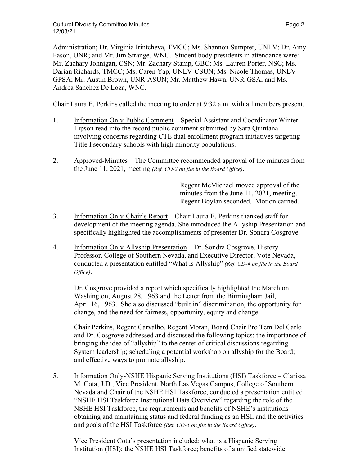Administration; Dr. Virginia Irintcheva, TMCC; Ms. Shannon Sumpter, UNLV; Dr. Amy Pason, UNR; and Mr. Jim Strange, WNC. Student body presidents in attendance were: Mr. Zachary Johnigan, CSN; Mr. Zachary Stamp, GBC; Ms. Lauren Porter, NSC; Ms. Darian Richards, TMCC; Ms. Caren Yap, UNLV-CSUN; Ms. Nicole Thomas, UNLV-GPSA; Mr. Austin Brown, UNR-ASUN; Mr. Matthew Hawn, UNR-GSA; and Ms. Andrea Sanchez De Loza, WNC.

Chair Laura E. Perkins called the meeting to order at 9:32 a.m. with all members present.

- 1. Information Only-Public Comment Special Assistant and Coordinator Winter Lipson read into the record public comment submitted by Sara Quintana involving concerns regarding CTE dual enrollment program initiatives targeting Title I secondary schools with high minority populations.
- 2. Approved-Minutes The Committee recommended approval of the minutes from the June 11, 2021, meeting *(Ref. CD-2 on file in the Board Office)*.

Regent McMichael moved approval of the minutes from the June 11, 2021, meeting. Regent Boylan seconded. Motion carried.

- 3. Information Only-Chair's Report Chair Laura E. Perkins thanked staff for development of the meeting agenda. She introduced the Allyship Presentation and specifically highlighted the accomplishments of presenter Dr. Sondra Cosgrove.
- 4. Information Only-Allyship Presentation Dr. Sondra Cosgrove, History Professor, College of Southern Nevada, and Executive Director, Vote Nevada, conducted a presentation entitled "What is Allyship" *(Ref. CD-4 on file in the Board Office)*.

Dr. Cosgrove provided a report which specifically highlighted the March on Washington, August 28, 1963 and the Letter from the Birmingham Jail, April 16, 1963. She also discussed "built in" discrimination, the opportunity for change, and the need for fairness, opportunity, equity and change.

Chair Perkins, Regent Carvalho, Regent Moran, Board Chair Pro Tem Del Carlo and Dr. Cosgrove addressed and discussed the following topics: the importance of bringing the idea of "allyship" to the center of critical discussions regarding System leadership; scheduling a potential workshop on allyship for the Board; and effective ways to promote allyship.

5. Information Only-NSHE Hispanic Serving Institutions (HSI) Taskforce – Clarissa M. Cota, J.D., Vice President, North Las Vegas Campus, College of Southern Nevada and Chair of the NSHE HSI Taskforce, conducted a presentation entitled "NSHE HSI Taskforce Institutional Data Overview" regarding the role of the NSHE HSI Taskforce, the requirements and benefits of NSHE's institutions obtaining and maintaining status and federal funding as an HSI, and the activities and goals of the HSI Taskforce *(Ref. CD-5 on file in the Board Office)*.

Vice President Cota's presentation included: what is a Hispanic Serving Institution (HSI); the NSHE HSI Taskforce; benefits of a unified statewide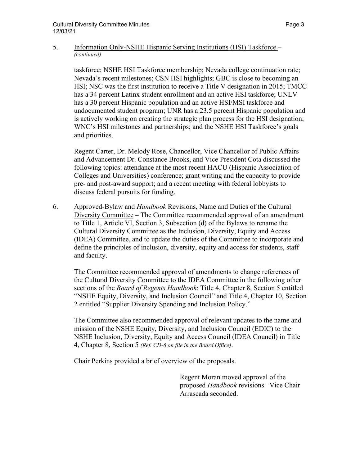## 5. Information Only-NSHE Hispanic Serving Institutions (HSI) Taskforce – *(continued)*

taskforce; NSHE HSI Taskforce membership; Nevada college continuation rate; Nevada's recent milestones; CSN HSI highlights; GBC is close to becoming an HSI; NSC was the first institution to receive a Title V designation in 2015; TMCC has a 34 percent Latinx student enrollment and an active HSI taskforce; UNLV has a 30 percent Hispanic population and an active HSI/MSI taskforce and undocumented student program; UNR has a 23.5 percent Hispanic population and is actively working on creating the strategic plan process for the HSI designation; WNC's HSI milestones and partnerships; and the NSHE HSI Taskforce's goals and priorities.

Regent Carter, Dr. Melody Rose, Chancellor, Vice Chancellor of Public Affairs and Advancement Dr. Constance Brooks, and Vice President Cota discussed the following topics: attendance at the most recent HACU (Hispanic Association of Colleges and Universities) conference; grant writing and the capacity to provide pre- and post-award support; and a recent meeting with federal lobbyists to discuss federal pursuits for funding.

6. Approved-Bylaw and *Handbook* Revisions, Name and Duties of the Cultural Diversity Committee – The Committee recommended approval of an amendment to Title 1, Article VI, Section 3, Subsection (d) of the Bylaws to rename the Cultural Diversity Committee as the Inclusion, Diversity, Equity and Access (IDEA) Committee, and to update the duties of the Committee to incorporate and define the principles of inclusion, diversity, equity and access for students, staff and faculty.

The Committee recommended approval of amendments to change references of the Cultural Diversity Committee to the IDEA Committee in the following other sections of the *Board of Regents Handbook*: Title 4, Chapter 8, Section 5 entitled "NSHE Equity, Diversity, and Inclusion Council" and Title 4, Chapter 10, Section 2 entitled "Supplier Diversity Spending and Inclusion Policy."

The Committee also recommended approval of relevant updates to the name and mission of the NSHE Equity, Diversity, and Inclusion Council (EDIC) to the NSHE Inclusion, Diversity, Equity and Access Council (IDEA Council) in Title 4, Chapter 8, Section 5 *(Ref. CD-6 on file in the Board Office)*.

Chair Perkins provided a brief overview of the proposals.

Regent Moran moved approval of the proposed *Handbook* revisions. Vice Chair Arrascada seconded.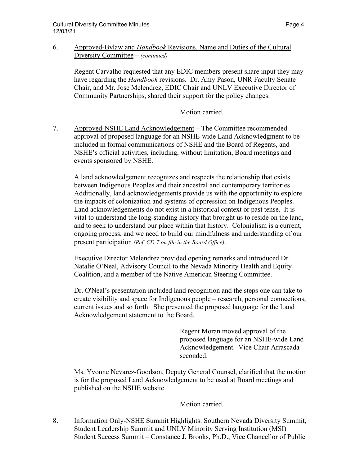## 6. Approved-Bylaw and *Handbook* Revisions, Name and Duties of the Cultural Diversity Committee – *(continued)*

Regent Carvalho requested that any EDIC members present share input they may have regarding the *Handbook* revisions. Dr. Amy Pason, UNR Faculty Senate Chair, and Mr. Jose Melendrez, EDIC Chair and UNLV Executive Director of Community Partnerships, shared their support for the policy changes.

Motion carried.

7. Approved-NSHE Land Acknowledgement – The Committee recommended approval of proposed language for an NSHE-wide Land Acknowledgment to be included in formal communications of NSHE and the Board of Regents, and NSHE's official activities, including, without limitation, Board meetings and events sponsored by NSHE.

 A land acknowledgement recognizes and respects the relationship that exists between Indigenous Peoples and their ancestral and contemporary territories. Additionally, land acknowledgements provide us with the opportunity to explore the impacts of colonization and systems of oppression on Indigenous Peoples. Land acknowledgements do not exist in a historical context or past tense. It is vital to understand the long-standing history that brought us to reside on the land, and to seek to understand our place within that history. Colonialism is a current, ongoing process, and we need to build our mindfulness and understanding of our present participation *(Ref. CD-7 on file in the Board Office)*.

Executive Director Melendrez provided opening remarks and introduced Dr. Natalie O'Neal, Advisory Council to the Nevada Minority Health and Equity Coalition, and a member of the Native American Steering Committee.

Dr. O'Neal's presentation included land recognition and the steps one can take to create visibility and space for Indigenous people – research, personal connections, current issues and so forth. She presented the proposed language for the Land Acknowledgement statement to the Board.

> Regent Moran moved approval of the proposed language for an NSHE-wide Land Acknowledgement. Vice Chair Arrascada seconded.

Ms. Yvonne Nevarez-Goodson, Deputy General Counsel, clarified that the motion is for the proposed Land Acknowledgement to be used at Board meetings and published on the NSHE website.

Motion carried.

8. Information Only-NSHE Summit Highlights: Southern Nevada Diversity Summit, Student Leadership Summit and UNLV Minority Serving Institution (MSI) Student Success Summit – Constance J. Brooks, Ph.D., Vice Chancellor of Public